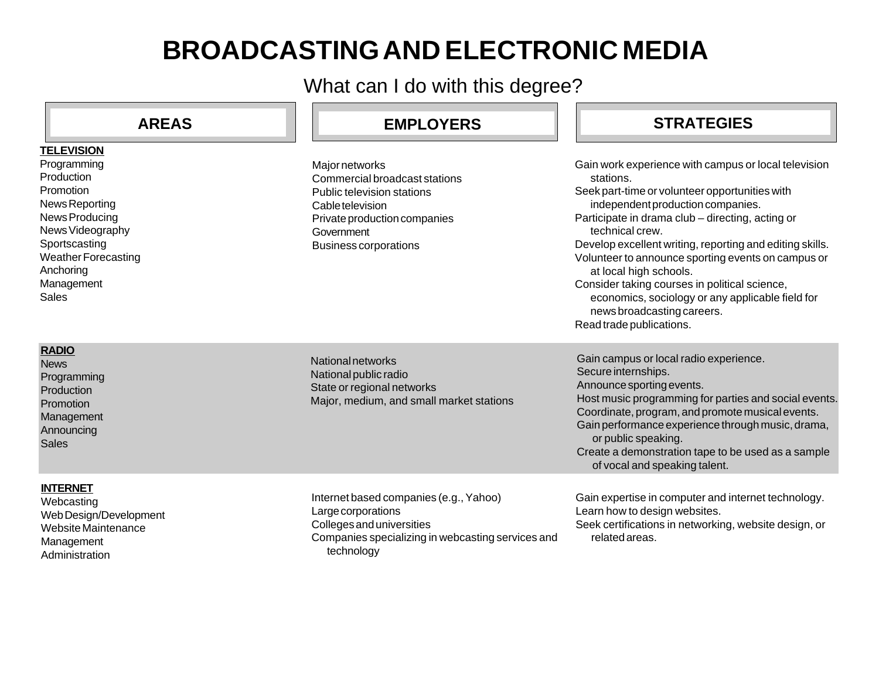# **BROADCASTING AND ELECTRONIC MEDIA**

What can I do with this degree?

| <b>AREAS</b>                                                                                                                                                                             | <b>EMPLOYERS</b>                                                                                                                                                                       | <b>STRATEGIES</b>                                                                                                                                                                                                                                                                                                                                                                                                                                                                                                                          |
|------------------------------------------------------------------------------------------------------------------------------------------------------------------------------------------|----------------------------------------------------------------------------------------------------------------------------------------------------------------------------------------|--------------------------------------------------------------------------------------------------------------------------------------------------------------------------------------------------------------------------------------------------------------------------------------------------------------------------------------------------------------------------------------------------------------------------------------------------------------------------------------------------------------------------------------------|
| <b>TELEVISION</b>                                                                                                                                                                        |                                                                                                                                                                                        |                                                                                                                                                                                                                                                                                                                                                                                                                                                                                                                                            |
| Programming<br>Production<br>Promotion<br>News Reporting<br>News Producing<br>News Videography<br>Sportscasting<br><b>Weather Forecasting</b><br>Anchoring<br>Management<br><b>Sales</b> | <b>Major networks</b><br>Commercial broadcast stations<br>Public television stations<br>Cable television<br>Private production companies<br>Government<br><b>Business corporations</b> | Gain work experience with campus or local television<br>stations.<br>Seek part-time or volunteer opportunities with<br>independent production companies.<br>Participate in drama club – directing, acting or<br>technical crew.<br>Develop excellent writing, reporting and editing skills.<br>Volunteer to announce sporting events on campus or<br>at local high schools.<br>Consider taking courses in political science,<br>economics, sociology or any applicable field for<br>news broadcasting careers.<br>Read trade publications. |
| <b>RADIO</b><br><b>News</b><br>Programming<br>Production<br>Promotion<br>Management<br>Announcing<br><b>Sales</b>                                                                        | National networks<br>National public radio<br>State or regional networks<br>Major, medium, and small market stations                                                                   | Gain campus or local radio experience.<br>Secure internships.<br>Announce sporting events.<br>Host music programming for parties and social events.<br>Coordinate, program, and promote musical events.<br>Gain performance experience through music, drama,<br>or public speaking.<br>Create a demonstration tape to be used as a sample<br>of vocal and speaking talent.                                                                                                                                                                 |
| <b>INTERNET</b><br>Webcasting<br>Web Design/Development<br>Website Maintenance<br>Management<br>Administration                                                                           | Internet based companies (e.g., Yahoo)<br>Large corporations<br>Colleges and universities<br>Companies specializing in webcasting services and<br>technology                           | Gain expertise in computer and internet technology.<br>Learn how to design websites.<br>Seek certifications in networking, website design, or<br>related areas.                                                                                                                                                                                                                                                                                                                                                                            |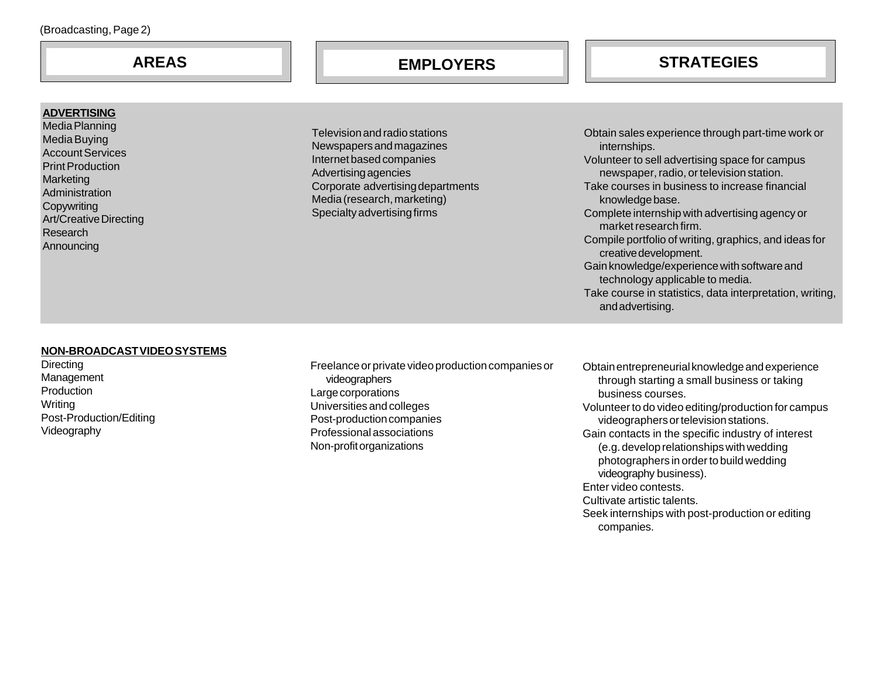## **AREAS EMPLOYERS STRATEGIES**

#### **ADVERTISING**

Media Planning Media Buying Account Services Print Production **Marketing Administration Copywriting** Art/Creative Directing Research **Announcing** 

Television and radio stations Newspapers and magazines Internet based companies Advertising agencies Corporate advertising departments Media (research, marketing) Specialty advertising firms

Obtain sales experience through part-time work or internships. Volunteer to sell advertising space for campus newspaper, radio, or television station. Take courses in business to increase financial knowledge base. Complete internship with advertising agency or market research firm. Compile portfolio of writing, graphics, and ideas for creative development. Gain knowledge/experience with software and technology applicable to media. Take course in statistics, data interpretation, writing, and advertising.

#### **NON-BROADCAST VIDEO SYSTEMS**

**Directing** Management **Production** Writing Post-Production/Editing Videography

Freelance or private video production companies or videographers Large corporations Universities and colleges Post-production companies Professional associations Non-profit organizations

Obtain entrepreneurial knowledge and experience through starting a small business or taking business courses. Volunteer to do video editing/production for campus videographers or television stations. Gain contacts in the specific industry of interest (e.g. develop relationships with wedding photographers in order to build wedding videography business). Enter video contests. Cultivate artistic talents. Seek internships with post-production or editing companies.